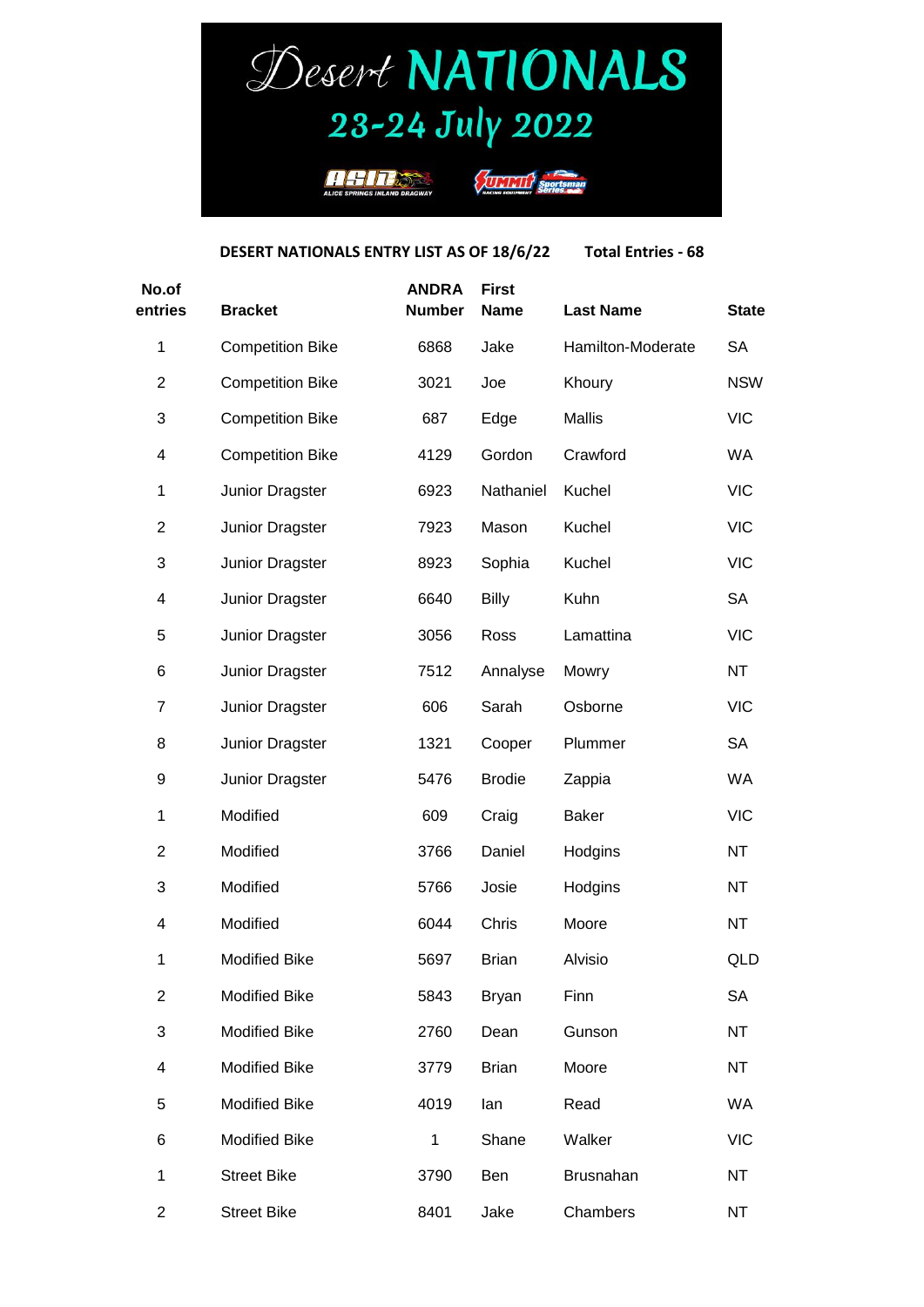## Desert NATIONALS 23-24 July 2022



**ELEVANTE Sportsm** 

**DESERT NATIONALS ENTRY LIST AS OF 18/6/22 Total Entries - 68**

| No.of<br>entries | <b>Bracket</b>          | <b>ANDRA</b><br><b>Number</b> | <b>First</b><br><b>Name</b> | <b>Last Name</b>  | <b>State</b> |
|------------------|-------------------------|-------------------------------|-----------------------------|-------------------|--------------|
| $\mathbf 1$      | <b>Competition Bike</b> | 6868                          | Jake                        | Hamilton-Moderate | <b>SA</b>    |
| $\overline{2}$   | <b>Competition Bike</b> | 3021                          | Joe                         | Khoury            | <b>NSW</b>   |
| 3                | <b>Competition Bike</b> | 687                           | Edge                        | <b>Mallis</b>     | <b>VIC</b>   |
| 4                | <b>Competition Bike</b> | 4129                          | Gordon                      | Crawford          | WA           |
| 1                | Junior Dragster         | 6923                          | Nathaniel                   | Kuchel            | <b>VIC</b>   |
| 2                | Junior Dragster         | 7923                          | Mason                       | Kuchel            | <b>VIC</b>   |
| 3                | Junior Dragster         | 8923                          | Sophia                      | Kuchel            | <b>VIC</b>   |
| 4                | Junior Dragster         | 6640                          | Billy                       | Kuhn              | <b>SA</b>    |
| 5                | Junior Dragster         | 3056                          | Ross                        | Lamattina         | <b>VIC</b>   |
| 6                | Junior Dragster         | 7512                          | Annalyse                    | Mowry             | <b>NT</b>    |
| 7                | Junior Dragster         | 606                           | Sarah                       | Osborne           | <b>VIC</b>   |
| 8                | Junior Dragster         | 1321                          | Cooper                      | Plummer           | <b>SA</b>    |
| 9                | Junior Dragster         | 5476                          | <b>Brodie</b>               | Zappia            | <b>WA</b>    |
| $\mathbf 1$      | Modified                | 609                           | Craig                       | <b>Baker</b>      | <b>VIC</b>   |
| 2                | Modified                | 3766                          | Daniel                      | Hodgins           | NT           |
| 3                | Modified                | 5766                          | Josie                       | Hodgins           | NT           |
| 4                | Modified                | 6044                          | Chris                       | Moore             | NT           |
| 1                | <b>Modified Bike</b>    | 5697                          | <b>Brian</b>                | Alvisio           | QLD          |
| $\overline{2}$   | <b>Modified Bike</b>    | 5843                          | <b>Bryan</b>                | Finn              | <b>SA</b>    |
| 3                | <b>Modified Bike</b>    | 2760                          | Dean                        | Gunson            | NT           |
| 4                | <b>Modified Bike</b>    | 3779                          | <b>Brian</b>                | Moore             | NT           |
| 5                | <b>Modified Bike</b>    | 4019                          | lan                         | Read              | <b>WA</b>    |
| 6                | <b>Modified Bike</b>    | $\mathbf 1$                   | Shane                       | Walker            | <b>VIC</b>   |
| 1                | <b>Street Bike</b>      | 3790                          | Ben                         | Brusnahan         | NT           |
| $\overline{c}$   | <b>Street Bike</b>      | 8401                          | Jake                        | Chambers          | NT           |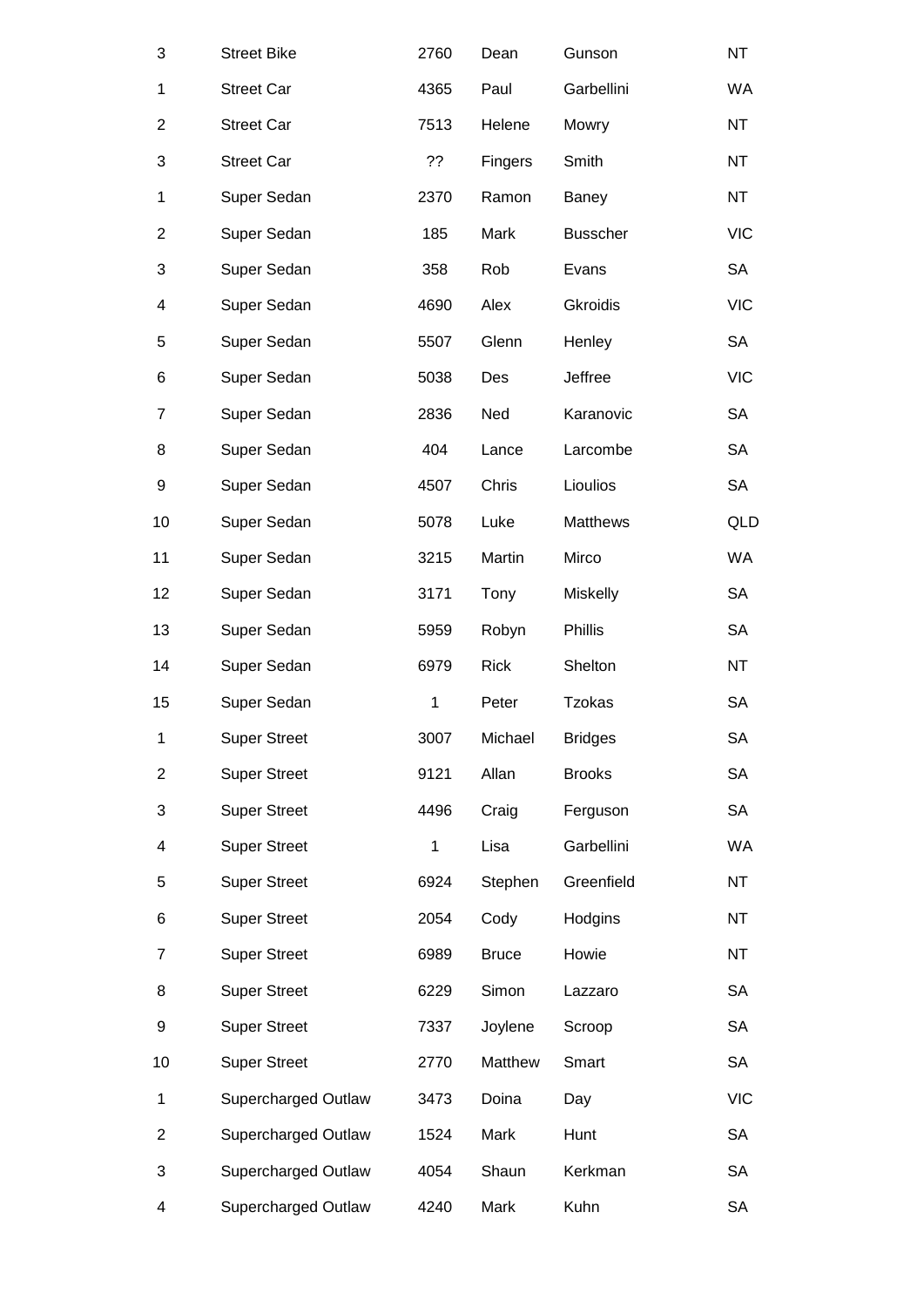| 3              | <b>Street Bike</b>  | 2760         | Dean         | Gunson          | NT         |
|----------------|---------------------|--------------|--------------|-----------------|------------|
| 1              | <b>Street Car</b>   | 4365         | Paul         | Garbellini      | WA         |
| $\overline{c}$ | <b>Street Car</b>   | 7513         | Helene       | Mowry           | NΤ         |
| 3              | <b>Street Car</b>   | ??           | Fingers      | Smith           | NT         |
| 1              | Super Sedan         | 2370         | Ramon        | Baney           | <b>NT</b>  |
| $\overline{2}$ | Super Sedan         | 185          | Mark         | <b>Busscher</b> | <b>VIC</b> |
| 3              | Super Sedan         | 358          | Rob          | Evans           | SA         |
| 4              | Super Sedan         | 4690         | Alex         | <b>Gkroidis</b> | <b>VIC</b> |
| 5              | Super Sedan         | 5507         | Glenn        | Henley          | <b>SA</b>  |
| 6              | Super Sedan         | 5038         | Des          | Jeffree         | <b>VIC</b> |
| 7              | Super Sedan         | 2836         | Ned          | Karanovic       | SA         |
| 8              | Super Sedan         | 404          | Lance        | Larcombe        | <b>SA</b>  |
| 9              | Super Sedan         | 4507         | Chris        | Lioulios        | <b>SA</b>  |
| 10             | Super Sedan         | 5078         | Luke         | Matthews        | QLD        |
| 11             | Super Sedan         | 3215         | Martin       | Mirco           | WA         |
| 12             | Super Sedan         | 3171         | Tony         | Miskelly        | SA         |
| 13             | Super Sedan         | 5959         | Robyn        | Phillis         | <b>SA</b>  |
| 14             | Super Sedan         | 6979         | <b>Rick</b>  | Shelton         | <b>NT</b>  |
| 15             | Super Sedan         | $\mathbf{1}$ | Peter        | <b>Tzokas</b>   | SA         |
| $\mathbf{1}$   | <b>Super Street</b> | 3007         | Michael      | <b>Bridges</b>  | SA         |
| $\overline{2}$ | <b>Super Street</b> | 9121         | Allan        | <b>Brooks</b>   | <b>SA</b>  |
| 3              | <b>Super Street</b> | 4496         | Craig        | Ferguson        | SA         |
| 4              | <b>Super Street</b> | 1            | Lisa         | Garbellini      | WA         |
| 5              | <b>Super Street</b> | 6924         | Stephen      | Greenfield      | <b>NT</b>  |
| 6              | <b>Super Street</b> | 2054         | Cody         | Hodgins         | ΝT         |
| $\overline{7}$ | <b>Super Street</b> | 6989         | <b>Bruce</b> | Howie           | NT         |
| 8              | <b>Super Street</b> | 6229         | Simon        | Lazzaro         | SA         |
| 9              | <b>Super Street</b> | 7337         | Joylene      | Scroop          | SA         |
| 10             | <b>Super Street</b> | 2770         | Matthew      | Smart           | <b>SA</b>  |
| 1              | Supercharged Outlaw | 3473         | Doina        | Day             | <b>VIC</b> |
| 2              | Supercharged Outlaw | 1524         | Mark         | Hunt            | SA         |
| 3              | Supercharged Outlaw | 4054         | Shaun        | Kerkman         | SA         |
| 4              | Supercharged Outlaw | 4240         | Mark         | Kuhn            | SA         |